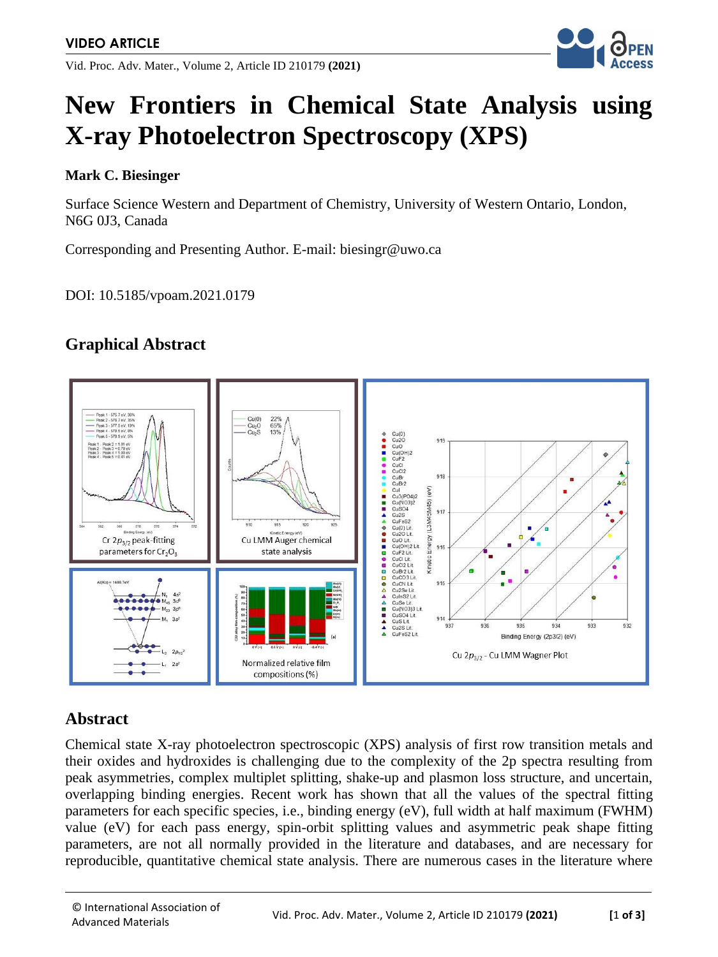Vid. Proc. Adv. Mater., Volume 2, Article ID 210179 **(2021)**



# **New Frontiers in Chemical State Analysis using X-ray Photoelectron Spectroscopy (XPS)**

#### **Mark C. Biesinger**

Surface Science Western and Department of Chemistry, University of Western Ontario, London, N6G 0J3, Canada

Corresponding and Presenting Author. E-mail: biesingr@uwo.ca

DOI: 10.5185/vpoam.2021.0179

## **Graphical Abstract**



#### **Abstract**

Chemical state X-ray photoelectron spectroscopic (XPS) analysis of first row transition metals and their oxides and hydroxides is challenging due to the complexity of the 2p spectra resulting from peak asymmetries, complex multiplet splitting, shake-up and plasmon loss structure, and uncertain, overlapping binding energies. Recent work has shown that all the values of the spectral fitting parameters for each specific species, i.e., binding energy (eV), full width at half maximum (FWHM) value (eV) for each pass energy, spin-orbit splitting values and asymmetric peak shape fitting parameters, are not all normally provided in the literature and databases, and are necessary for reproducible, quantitative chemical state analysis. There are numerous cases in the literature where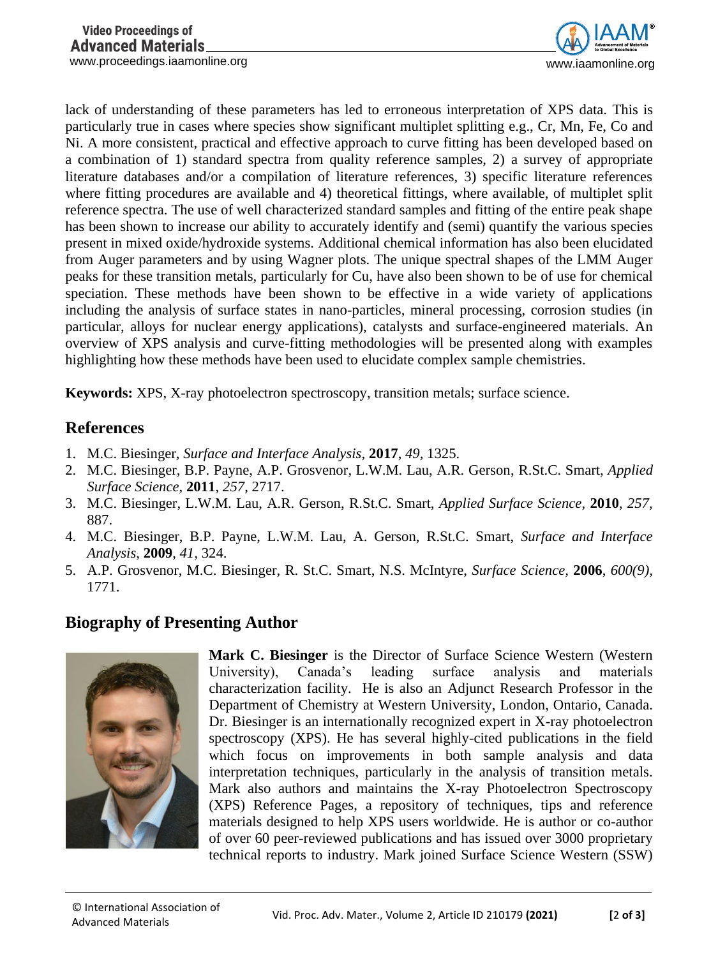

lack of understanding of these parameters has led to erroneous interpretation of XPS data. This is particularly true in cases where species show significant multiplet splitting e.g., Cr, Mn, Fe, Co and Ni. A more consistent, practical and effective approach to curve fitting has been developed based on a combination of 1) standard spectra from quality reference samples, 2) a survey of appropriate literature databases and/or a compilation of literature references, 3) specific literature references where fitting procedures are available and 4) theoretical fittings, where available, of multiplet split reference spectra. The use of well characterized standard samples and fitting of the entire peak shape has been shown to increase our ability to accurately identify and (semi) quantify the various species present in mixed oxide/hydroxide systems. Additional chemical information has also been elucidated from Auger parameters and by using Wagner plots. The unique spectral shapes of the LMM Auger peaks for these transition metals, particularly for Cu, have also been shown to be of use for chemical speciation. These methods have been shown to be effective in a wide variety of applications including the analysis of surface states in nano-particles, mineral processing, corrosion studies (in particular, alloys for nuclear energy applications), catalysts and surface-engineered materials. An overview of XPS analysis and curve-fitting methodologies will be presented along with examples highlighting how these methods have been used to elucidate complex sample chemistries.

**Keywords:** XPS, X-ray photoelectron spectroscopy, transition metals; surface science.

### **References**

- 1. M.C. Biesinger, *Surface and Interface Analysis*, **2017**, *49,* 1325.
- 2. M.C. Biesinger, B.P. Payne, A.P. Grosvenor, L.W.M. Lau, A.R. Gerson, R.St.C. Smart, *Applied Surface Science*, **2011**, *257,* 2717.
- 3. M.C. Biesinger, L.W.M. Lau, A.R. Gerson, R.St.C. Smart, *Applied Surface Science*, **2010**, *257,* 887.
- 4. M.C. Biesinger, B.P. Payne, L.W.M. Lau, A. Gerson, R.St.C. Smart, *Surface and Interface Analysis*, **2009**, *41,* 324.
- 5. A.P. Grosvenor, M.C. Biesinger, R. St.C. Smart, N.S. McIntyre, *Surface Science,* **2006**, *600(9),* 1771.

## **Biography of Presenting Author**



**Mark C. Biesinger** is the Director of Surface Science Western (Western University), Canada's leading surface analysis and materials characterization facility. He is also an Adjunct Research Professor in the Department of Chemistry at Western University, London, Ontario, Canada. Dr. Biesinger is an internationally recognized expert in X-ray photoelectron spectroscopy (XPS). He has several highly-cited publications in the field which focus on improvements in both sample analysis and data interpretation techniques, particularly in the analysis of transition metals. Mark also authors and maintains the X-ray Photoelectron Spectroscopy (XPS) Reference Pages, a repository of techniques, tips and reference materials designed to help XPS users worldwide. He is author or co-author of over 60 peer-reviewed publications and has issued over 3000 proprietary technical reports to industry. Mark joined Surface Science Western (SSW)